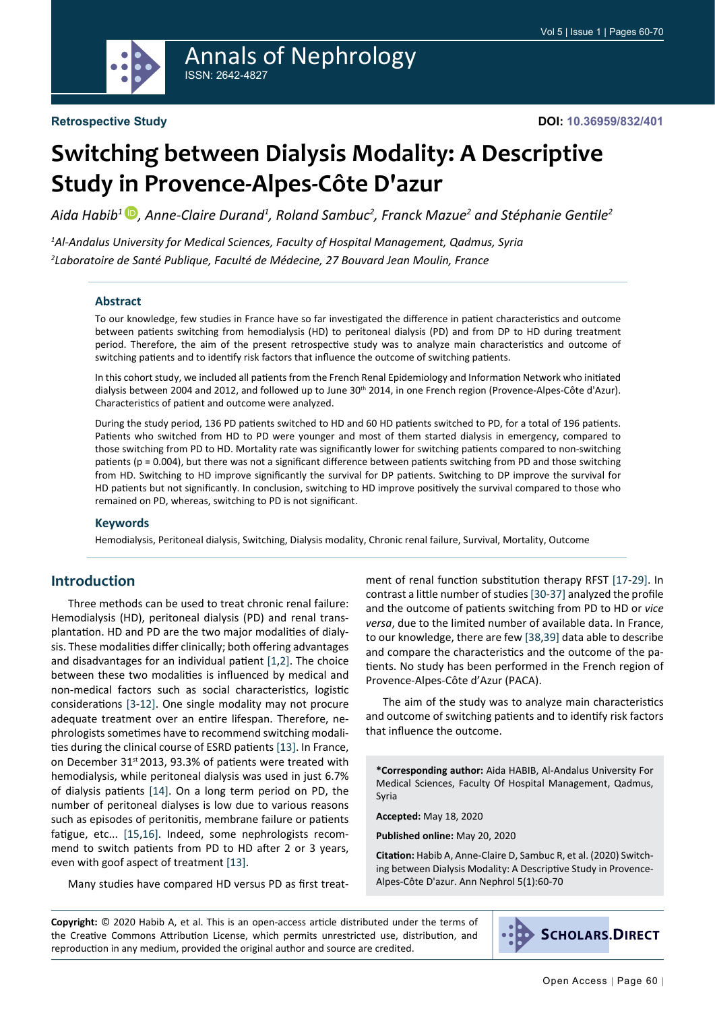

# Annals of Nephrology ISSN: 2642-4827

# **Switching between Dialysis Modality: A Descriptive Study in Provence-Alpes-Côte D'azur**

*Aida Habib1 [,](https://orcid.org/0000-0001-7873-6622) Anne-Claire Durand1 , Roland Sambuc2 , Franck Mazue2 and Stéphanie Gentile<sup>2</sup>*

*1 Al-Andalus University for Medical Sciences, Faculty of Hospital Management, Qadmus, Syria 2 Laboratoire de Santé Publique, Faculté de Médecine, 27 Bouvard Jean Moulin, France*

#### **Abstract**

To our knowledge, few studies in France have so far investigated the difference in patient characteristics and outcome between patients switching from hemodialysis (HD) to peritoneal dialysis (PD) and from DP to HD during treatment period. Therefore, the aim of the present retrospective study was to analyze main characteristics and outcome of switching patients and to identify risk factors that influence the outcome of switching patients.

In this cohort study, we included all patients from the French Renal Epidemiology and Information Network who initiated dialysis between 2004 and 2012, and followed up to June 30<sup>th</sup> 2014, in one French region (Provence-Alpes-Côte d'Azur). Characteristics of patient and outcome were analyzed.

During the study period, 136 PD patients switched to HD and 60 HD patients switched to PD, for a total of 196 patients. Patients who switched from HD to PD were younger and most of them started dialysis in emergency, compared to those switching from PD to HD. Mortality rate was significantly lower for switching patients compared to non-switching patients (p = 0.004), but there was not a significant difference between patients switching from PD and those switching from HD. Switching to HD improve significantly the survival for DP patients. Switching to DP improve the survival for HD patients but not significantly. In conclusion, switching to HD improve positively the survival compared to those who remained on PD, whereas, switching to PD is not significant.

#### **Keywords**

Hemodialysis, Peritoneal dialysis, Switching, Dialysis modality, Chronic renal failure, Survival, Mortality, Outcome

#### **Introduction**

Three methods can be used to treat chronic renal failure: Hemodialysis (HD), peritoneal dialysis (PD) and renal transplantation. HD and PD are the two major modalities of dialysis. These modalities differ clinically; both offering advantages and disadvantages for an individual patient [[1,](#page-8-0)[2](#page-8-1)]. The choice between these two modalities is influenced by medical and non-medical factors such as social characteristics, logistic considerations [\[3](#page-8-2)[-12\]](#page-8-3). One single modality may not procure adequate treatment over an entire lifespan. Therefore, nephrologists sometimes have to recommend switching modalities during the clinical course of ESRD patients [\[13](#page-9-0)]. In France, on December 31<sup>st</sup> 2013, 93.3% of patients were treated with hemodialysis, while peritoneal dialysis was used in just 6.7% of dialysis patients [\[14](#page-9-1)]. On a long term period on PD, the number of peritoneal dialyses is low due to various reasons such as episodes of peritonitis, membrane failure or patients fatigue, etc... [\[15](#page-9-2),[16\]](#page-9-3). Indeed, some nephrologists recommend to switch patients from PD to HD after 2 or 3 years, even with goof aspect of treatment [[13\]](#page-9-0).

Many studies have compared HD versus PD as first treat-

ment of renal function substitution therapy RFST [\[17](#page-9-4)[-29](#page-9-5)]. In contrast a little number of studies [[30](#page-9-6)-[37](#page-9-7)] analyzed the profile and the outcome of patients switching from PD to HD or *vice versa*, due to the limited number of available data. In France, to our knowledge, there are few [\[38](#page-9-8),[39\]](#page-9-9) data able to describe and compare the characteristics and the outcome of the patients. No study has been performed in the French region of Provence-Alpes-Côte d'Azur (PACA).

The aim of the study was to analyze main characteristics and outcome of switching patients and to identify risk factors that influence the outcome.

**\*Corresponding author:** Aida HABIB, Al-Andalus University For Medical Sciences, Faculty Of Hospital Management, Qadmus, Syria

**Accepted:** May 18, 2020

**Published online:** May 20, 2020

**Citation:** Habib A, Anne-Claire D, Sambuc R, et al. (2020) Switching between Dialysis Modality: A Descriptive Study in Provence-Alpes-Côte D'azur. Ann Nephrol 5(1):60-70

**Copyright:** © 2020 Habib A, et al. This is an open-access article distributed under the terms of the Creative Commons Attribution License, which permits unrestricted use, distribution, and reproduction in any medium, provided the original author and source are credited.

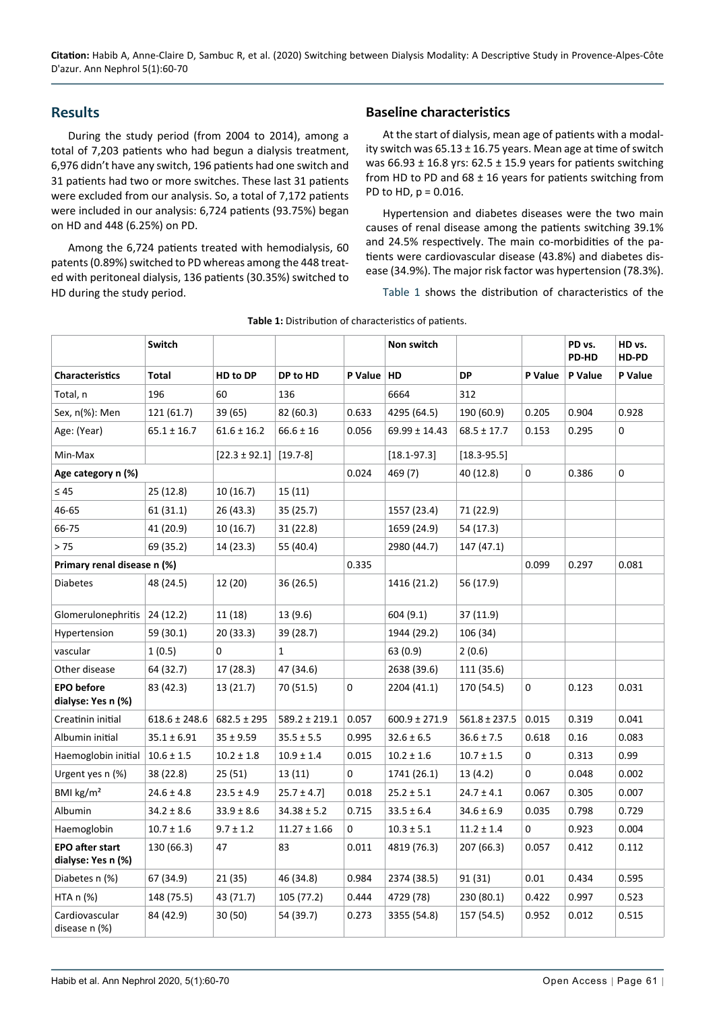## **Results**

During the study period (from 2004 to 2014), among a total of 7,203 patients who had begun a dialysis treatment, 6,976 didn't have any switch, 196 patients had one switch and 31 patients had two or more switches. These last 31 patients were excluded from our analysis. So, a total of 7,172 patients were included in our analysis: 6,724 patients (93.75%) began on HD and 448 (6.25%) on PD.

Among the 6,724 patients treated with hemodialysis, 60 patents (0.89%) switched to PD whereas among the 448 treated with peritoneal dialysis, 136 patients (30.35%) switched to HD during the study period.

## **Baseline characteristics**

At the start of dialysis, mean age of patients with a modality switch was  $65.13 \pm 16.75$  years. Mean age at time of switch was 66.93  $\pm$  16.8 yrs: 62.5  $\pm$  15.9 years for patients switching from HD to PD and  $68 \pm 16$  years for patients switching from PD to HD, p = 0.016.

Hypertension and diabetes diseases were the two main causes of renal disease among the patients switching 39.1% and 24.5% respectively. The main co-morbidities of the patients were cardiovascular disease (43.8%) and diabetes disease (34.9%). The major risk factor was hypertension (78.3%).

[Table 1](#page-1-0) shows the distribution of characteristics of the

|                                              | Switch            |                   |                   |             | Non switch        |                   |             | PD vs.<br>PD-HD | HD vs.<br>HD-PD |
|----------------------------------------------|-------------------|-------------------|-------------------|-------------|-------------------|-------------------|-------------|-----------------|-----------------|
| <b>Characteristics</b>                       | Total             | HD to DP          | DP to HD          | P Value     | HD                | <b>DP</b>         | P Value     | P Value         | P Value         |
| Total, n                                     | 196               | 60                | 136               |             | 6664              | 312               |             |                 |                 |
| Sex, n(%): Men                               | 121 (61.7)        | 39 (65)           | 82 (60.3)         | 0.633       | 4295 (64.5)       | 190 (60.9)        | 0.205       | 0.904           | 0.928           |
| Age: (Year)                                  | $65.1 \pm 16.7$   | $61.6 \pm 16.2$   | $66.6 \pm 16$     | 0.056       | $69.99 \pm 14.43$ | $68.5 \pm 17.7$   | 0.153       | 0.295           | 0               |
| Min-Max                                      |                   | $[22.3 \pm 92.1]$ | $[19.7-8]$        |             | $[18.1 - 97.3]$   | $[18.3 - 95.5]$   |             |                 |                 |
| Age category n (%)                           |                   |                   |                   | 0.024       | 469 (7)           | 40 (12.8)         | 0           | 0.386           | 0               |
| $\leq 45$                                    | 25 (12.8)         | 10 (16.7)         | 15 (11)           |             |                   |                   |             |                 |                 |
| 46-65                                        | 61(31.1)          | 26 (43.3)         | 35(25.7)          |             | 1557 (23.4)       | 71 (22.9)         |             |                 |                 |
| 66-75                                        | 41 (20.9)         | 10(16.7)          | 31(22.8)          |             | 1659 (24.9)       | 54 (17.3)         |             |                 |                 |
| > 75                                         | 69 (35.2)         | 14 (23.3)         | 55 (40.4)         |             | 2980 (44.7)       | 147 (47.1)        |             |                 |                 |
| Primary renal disease n (%)                  |                   |                   |                   | 0.335       |                   |                   | 0.099       | 0.297           | 0.081           |
| <b>Diabetes</b>                              | 48 (24.5)         | 12 (20)           | 36 (26.5)         |             | 1416 (21.2)       | 56 (17.9)         |             |                 |                 |
| Glomerulonephritis                           | 24 (12.2)         | 11 (18)           | 13 (9.6)          |             | 604(9.1)          | 37 (11.9)         |             |                 |                 |
| Hypertension                                 | 59 (30.1)         | 20 (33.3)         | 39 (28.7)         |             | 1944 (29.2)       | 106 (34)          |             |                 |                 |
| vascular                                     | 1(0.5)            | $\Omega$          | 1                 |             | 63(0.9)           | 2(0.6)            |             |                 |                 |
| Other disease                                | 64 (32.7)         | 17 (28.3)         | 47 (34.6)         |             | 2638 (39.6)       | 111 (35.6)        |             |                 |                 |
| <b>EPO</b> before<br>dialyse: Yes n (%)      | 83 (42.3)         | 13 (21.7)         | 70 (51.5)         | $\mathbf 0$ | 2204 (41.1)       | 170 (54.5)        | $\mathbf 0$ | 0.123           | 0.031           |
| Creatinin initial                            | $618.6 \pm 248.6$ | $682.5 \pm 295$   | $589.2 \pm 219.1$ | 0.057       | $600.9 \pm 271.9$ | $561.8 \pm 237.5$ | 0.015       | 0.319           | 0.041           |
| Albumin initial                              | $35.1 \pm 6.91$   | $35 \pm 9.59$     | $35.5 \pm 5.5$    | 0.995       | $32.6 \pm 6.5$    | $36.6 \pm 7.5$    | 0.618       | 0.16            | 0.083           |
| Haemoglobin initial                          | $10.6 \pm 1.5$    | $10.2 \pm 1.8$    | $10.9 \pm 1.4$    | 0.015       | $10.2 \pm 1.6$    | $10.7 \pm 1.5$    | $\mathbf 0$ | 0.313           | 0.99            |
| Urgent yes n (%)                             | 38 (22.8)         | 25 (51)           | 13(11)            | $\mathbf 0$ | 1741 (26.1)       | 13(4.2)           | $\mathbf 0$ | 0.048           | 0.002           |
| BMI kg/m <sup>2</sup>                        | $24.6 \pm 4.8$    | $23.5 \pm 4.9$    | $25.7 \pm 4.7$    | 0.018       | $25.2 \pm 5.1$    | $24.7 \pm 4.1$    | 0.067       | 0.305           | 0.007           |
| Albumin                                      | $34.2 \pm 8.6$    | $33.9 \pm 8.6$    | $34.38 \pm 5.2$   | 0.715       | $33.5 \pm 6.4$    | $34.6 \pm 6.9$    | 0.035       | 0.798           | 0.729           |
| Haemoglobin                                  | $10.7 \pm 1.6$    | $9.7 \pm 1.2$     | $11.27 \pm 1.66$  | $\mathbf 0$ | $10.3 \pm 5.1$    | $11.2 \pm 1.4$    | $\mathbf 0$ | 0.923           | 0.004           |
| <b>EPO after start</b><br>dialyse: Yes n (%) | 130 (66.3)        | 47                | 83                | 0.011       | 4819 (76.3)       | 207 (66.3)        | 0.057       | 0.412           | 0.112           |
| Diabetes n (%)                               | 67 (34.9)         | 21 (35)           | 46 (34.8)         | 0.984       | 2374 (38.5)       | 91 (31)           | 0.01        | 0.434           | 0.595           |
| HTA $n$ $%$                                  | 148 (75.5)        | 43 (71.7)         | 105 (77.2)        | 0.444       | 4729 (78)         | 230 (80.1)        | 0.422       | 0.997           | 0.523           |
| Cardiovascular<br>disease n (%)              | 84 (42.9)         | 30 (50)           | 54 (39.7)         | 0.273       | 3355 (54.8)       | 157 (54.5)        | 0.952       | 0.012           | 0.515           |

<span id="page-1-0"></span>**Table 1:** Distribution of characteristics of patients.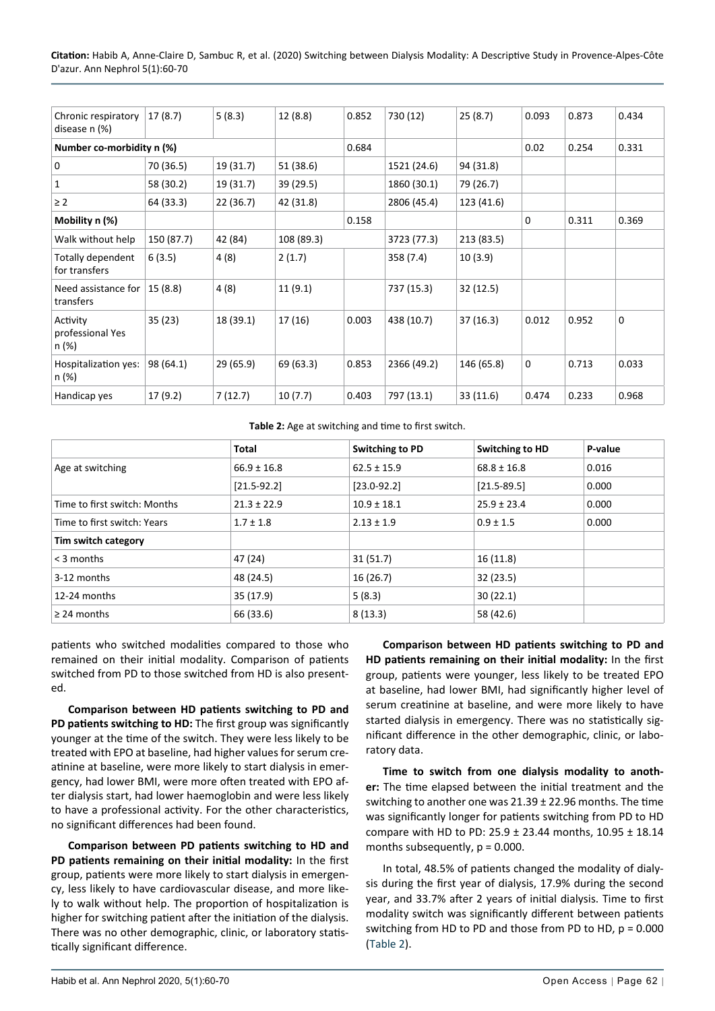**Citation:** Habib A, Anne-Claire D, Sambuc R, et al. (2020) Switching between Dialysis Modality: A Descriptive Study in Provence-Alpes-Côte D'azur. Ann Nephrol 5(1):60-70

| Chronic respiratory<br>disease n (%)  | 17(8.7)    | 5(8.3)    | 12(8.8)    | 0.852 | 730 (12)    | 25(8.7)    | 0.093 | 0.873 | 0.434       |
|---------------------------------------|------------|-----------|------------|-------|-------------|------------|-------|-------|-------------|
| Number co-morbidity n (%)             |            |           |            | 0.684 |             |            | 0.02  | 0.254 | 0.331       |
| 0                                     | 70 (36.5)  | 19 (31.7) | 51 (38.6)  |       | 1521 (24.6) | 94 (31.8)  |       |       |             |
| $\mathbf{1}$                          | 58 (30.2)  | 19 (31.7) | 39 (29.5)  |       | 1860 (30.1) | 79 (26.7)  |       |       |             |
| $\geq$ 2                              | 64 (33.3)  | 22 (36.7) | 42 (31.8)  |       | 2806 (45.4) | 123 (41.6) |       |       |             |
| Mobility n (%)                        |            |           |            | 0.158 |             |            | 0     | 0.311 | 0.369       |
| Walk without help                     | 150 (87.7) | 42 (84)   | 108 (89.3) |       | 3723 (77.3) | 213 (83.5) |       |       |             |
| Totally dependent<br>for transfers    | 6(3.5)     | 4(8)      | 2(1.7)     |       | 358 (7.4)   | 10(3.9)    |       |       |             |
| Need assistance for<br>transfers      | 15(8.8)    | 4(8)      | 11(9.1)    |       | 737 (15.3)  | 32 (12.5)  |       |       |             |
| Activity<br>professional Yes<br>n (%) | 35(23)     | 18 (39.1) | 17 (16)    | 0.003 | 438 (10.7)  | 37(16.3)   | 0.012 | 0.952 | $\mathbf 0$ |
| Hospitalization yes:<br>n (%)         | 98 (64.1)  | 29 (65.9) | 69 (63.3)  | 0.853 | 2366 (49.2) | 146 (65.8) | 0     | 0.713 | 0.033       |
| Handicap yes                          | 17(9.2)    | 7(12.7)   | 10(7.7)    | 0.403 | 797 (13.1)  | 33 (11.6)  | 0.474 | 0.233 | 0.968       |

#### <span id="page-2-0"></span>**Table 2:** Age at switching and time to first switch.

|                              | <b>Total</b>    | Switching to PD | Switching to HD | P-value |
|------------------------------|-----------------|-----------------|-----------------|---------|
| Age at switching             | $66.9 \pm 16.8$ | $62.5 \pm 15.9$ | $68.8 \pm 16.8$ | 0.016   |
|                              | $[21.5-92.2]$   | $[23.0 - 92.2]$ | $[21.5 - 89.5]$ | 0.000   |
| Time to first switch: Months | $21.3 \pm 22.9$ | $10.9 \pm 18.1$ | $25.9 \pm 23.4$ | 0.000   |
| Time to first switch: Years  | $1.7 \pm 1.8$   | $2.13 \pm 1.9$  | $0.9 \pm 1.5$   | 0.000   |
| Tim switch category          |                 |                 |                 |         |
| $<$ 3 months                 | 47 (24)         | 31(51.7)        | 16(11.8)        |         |
| 3-12 months                  | 48 (24.5)       | 16(26.7)        | 32(23.5)        |         |
| 12-24 months                 | 35 (17.9)       | 5(8.3)          | 30(22.1)        |         |
| $\geq$ 24 months             | 66 (33.6)       | 8(13.3)         | 58 (42.6)       |         |

patients who switched modalities compared to those who remained on their initial modality. Comparison of patients switched from PD to those switched from HD is also presented.

**Comparison between HD patients switching to PD and PD patients switching to HD:** The first group was significantly younger at the time of the switch. They were less likely to be treated with EPO at baseline, had higher values for serum creatinine at baseline, were more likely to start dialysis in emergency, had lower BMI, were more often treated with EPO after dialysis start, had lower haemoglobin and were less likely to have a professional activity. For the other characteristics, no significant differences had been found.

**Comparison between PD patients switching to HD and PD patients remaining on their initial modality:** In the first group, patients were more likely to start dialysis in emergency, less likely to have cardiovascular disease, and more likely to walk without help. The proportion of hospitalization is higher for switching patient after the initiation of the dialysis. There was no other demographic, clinic, or laboratory statistically significant difference.

**Comparison between HD patients switching to PD and HD patients remaining on their initial modality:** In the first group, patients were younger, less likely to be treated EPO at baseline, had lower BMI, had significantly higher level of serum creatinine at baseline, and were more likely to have started dialysis in emergency. There was no statistically significant difference in the other demographic, clinic, or laboratory data.

**Time to switch from one dialysis modality to another:** The time elapsed between the initial treatment and the switching to another one was 21.39 ± 22.96 months. The time was significantly longer for patients switching from PD to HD compare with HD to PD: 25.9 ± 23.44 months, 10.95 ± 18.14 months subsequently,  $p = 0.000$ .

In total, 48.5% of patients changed the modality of dialysis during the first year of dialysis, 17.9% during the second year, and 33.7% after 2 years of initial dialysis. Time to first modality switch was significantly different between patients switching from HD to PD and those from PD to HD, p = 0.000 ([Table 2](#page-2-0)).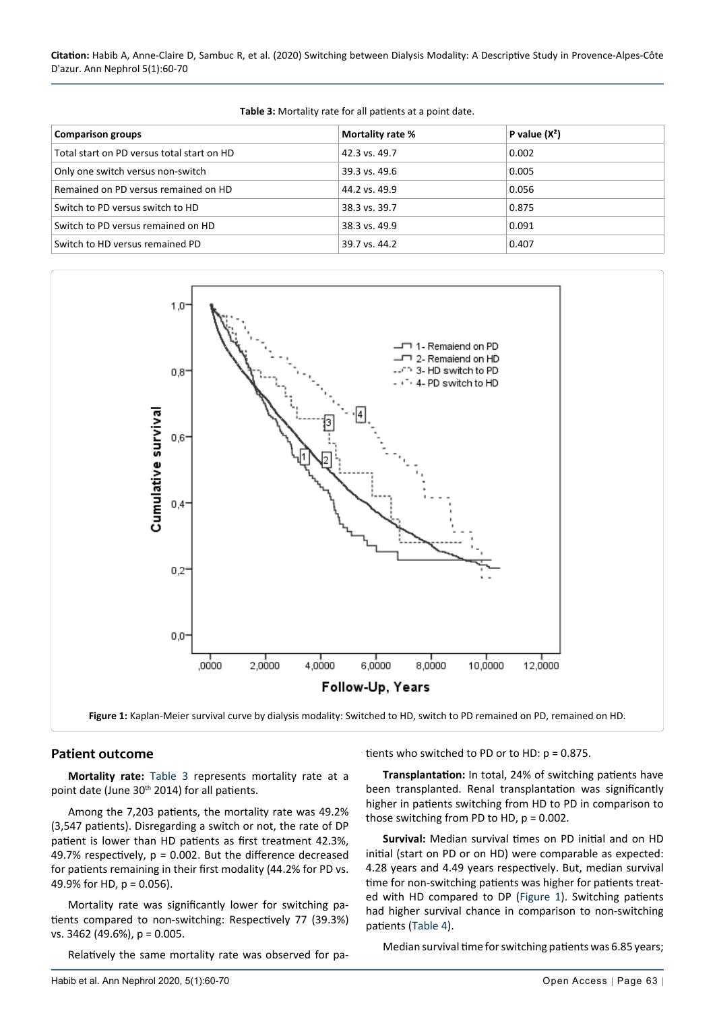**Citation:** Habib A, Anne-Claire D, Sambuc R, et al. (2020) Switching between Dialysis Modality: A Descriptive Study in Provence-Alpes-Côte D'azur. Ann Nephrol 5(1):60-70

| <b>Comparison groups</b>                   | Mortality rate % | P value $(X^2)$ |
|--------------------------------------------|------------------|-----------------|
| Total start on PD versus total start on HD | 42.3 vs. 49.7    | 0.002           |
| Only one switch versus non-switch          | 39.3 vs. 49.6    | 0.005           |
| Remained on PD versus remained on HD       | 44.2 vs. 49.9    | 0.056           |
| Switch to PD versus switch to HD           | 38.3 vs. 39.7    | 0.875           |
| Switch to PD versus remained on HD         | 38.3 vs. 49.9    | 0.091           |
| Switch to HD versus remained PD            | 39.7 vs. 44.2    | 0.407           |

<span id="page-3-1"></span>**Table 3:** Mortality rate for all patients at a point date.

<span id="page-3-0"></span>

#### **Patient outcome**

**Mortality rate:** [Table 3](#page-3-1) represents mortality rate at a point date (June 30th 2014) for all patients.

Among the 7,203 patients, the mortality rate was 49.2% (3,547 patients). Disregarding a switch or not, the rate of DP patient is lower than HD patients as first treatment 42.3%, 49.7% respectively,  $p = 0.002$ . But the difference decreased for patients remaining in their first modality (44.2% for PD vs. 49.9% for HD,  $p = 0.056$ ).

Mortality rate was significantly lower for switching patients compared to non-switching: Respectively 77 (39.3%) vs. 3462 (49.6%), p = 0.005.

Relatively the same mortality rate was observed for pa-

tients who switched to PD or to HD: p = 0.875.

**Transplantation:** In total, 24% of switching patients have been transplanted. Renal transplantation was significantly higher in patients switching from HD to PD in comparison to those switching from PD to HD,  $p = 0.002$ .

**Survival:** Median survival times on PD initial and on HD initial (start on PD or on HD) were comparable as expected: 4.28 years and 4.49 years respectively. But, median survival time for non-switching patients was higher for patients treated with HD compared to DP ([Figure 1](#page-3-0)). Switching patients had higher survival chance in comparison to non-switching patients ([Table 4](#page-4-0)).

Median survival time for switching patients was 6.85 years;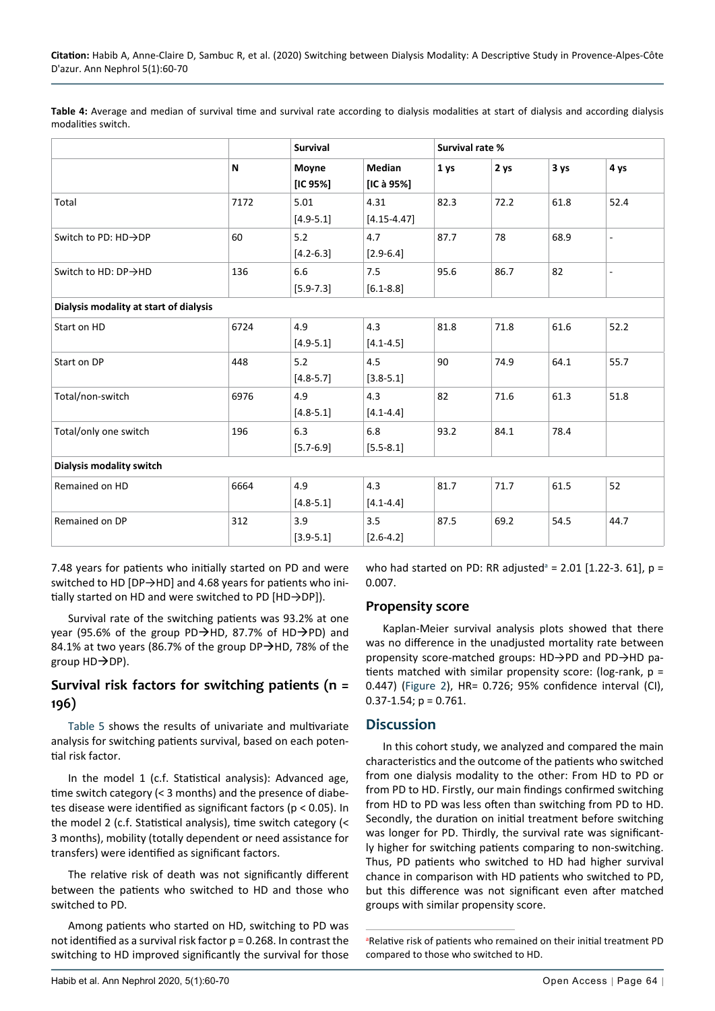<span id="page-4-0"></span>Table 4: Average and median of survival time and survival rate according to dialysis modalities at start of dialysis and according dialysis modalities switch.

|                                        |      | <b>Survival</b>       |                             | Survival rate % |      |      |                              |
|----------------------------------------|------|-----------------------|-----------------------------|-----------------|------|------|------------------------------|
|                                        | N    | Moyne<br>[IC $95%$ ]  | <b>Median</b><br>[IC à 95%] | 1 ys            | 2 ys | 3 ys | 4 ys                         |
| Total                                  | 7172 | 5.01<br>$[4.9 - 5.1]$ | 4.31<br>$[4.15 - 4.47]$     | 82.3            | 72.2 | 61.8 | 52.4                         |
| Switch to PD: HD→DP                    | 60   | 5.2<br>$[4.2 - 6.3]$  | 4.7<br>$[2.9 - 6.4]$        | 87.7            | 78   | 68.9 | $\qquad \qquad \blacksquare$ |
| Switch to HD: DP→HD                    | 136  | 6.6<br>$[5.9 - 7.3]$  | 7.5<br>$[6.1 - 8.8]$        | 95.6            | 86.7 | 82   | $\overline{\phantom{a}}$     |
| Dialysis modality at start of dialysis |      |                       |                             |                 |      |      |                              |
| Start on HD                            | 6724 | 4.9<br>$[4.9 - 5.1]$  | 4.3<br>$[4.1 - 4.5]$        | 81.8            | 71.8 | 61.6 | 52.2                         |
| Start on DP                            | 448  | 5.2<br>$[4.8 - 5.7]$  | 4.5<br>$[3.8 - 5.1]$        | 90              | 74.9 | 64.1 | 55.7                         |
| Total/non-switch                       | 6976 | 4.9<br>$[4.8 - 5.1]$  | 4.3<br>$[4.1 - 4.4]$        | 82              | 71.6 | 61.3 | 51.8                         |
| Total/only one switch                  | 196  | 6.3<br>$[5.7 - 6.9]$  | 6.8<br>$[5.5 - 8.1]$        | 93.2            | 84.1 | 78.4 |                              |
| Dialysis modality switch               |      |                       |                             |                 |      |      |                              |
| Remained on HD                         | 6664 | 4.9<br>$[4.8 - 5.1]$  | 4.3<br>$[4.1 - 4.4]$        | 81.7            | 71.7 | 61.5 | 52                           |
| Remained on DP                         | 312  | 3.9<br>$[3.9 - 5.1]$  | 3.5<br>$[2.6 - 4.2]$        | 87.5            | 69.2 | 54.5 | 44.7                         |

7.48 years for patients who initially started on PD and were switched to HD [DP→HD] and 4.68 years for patients who initially started on HD and were switched to PD [HD→DP]).

Survival rate of the switching patients was 93.2% at one year (95.6% of the group PD $\rightarrow$ HD, 87.7% of HD $\rightarrow$ PD) and 84.1% at two years (86.7% of the group DP $\rightarrow$ HD, 78% of the group  $HD\rightarrow DP$ ).

## **Survival risk factors for switching patients (n = 196)**

[Table 5](#page-5-0) shows the results of univariate and multivariate analysis for switching patients survival, based on each potential risk factor.

In the model 1 (c.f. Statistical analysis): Advanced age, time switch category (< 3 months) and the presence of diabetes disease were identified as significant factors (p < 0.05). In the model 2 (c.f. Statistical analysis), time switch category (< 3 months), mobility (totally dependent or need assistance for transfers) were identified as significant factors.

The relative risk of death was not significantly different between the patients who switched to HD and those who switched to PD.

Among patients who started on HD, switching to PD was not identified as a survival risk factor p = 0.268. In contrast the switching to HD improved significantly the survival for those

who h[a](#page-4-1)d started on PD: RR adjusted<sup>a</sup> = 2.01 [1.22-3. 61],  $p =$ 0.007.

#### **Propensity score**

Kaplan-Meier survival analysis plots showed that there was no difference in the unadjusted mortality rate between propensity score-matched groups: HD->PD and PD->HD patients matched with similar propensity score: (log-rank, p = 0.447) ([Figure 2\)](#page-6-0), HR= 0.726; 95% confidence interval (CI),  $0.37 - 1.54$ ; p = 0.761.

#### **Discussion**

In this cohort study, we analyzed and compared the main characteristics and the outcome of the patients who switched from one dialysis modality to the other: From HD to PD or from PD to HD. Firstly, our main findings confirmed switching from HD to PD was less often than switching from PD to HD. Secondly, the duration on initial treatment before switching was longer for PD. Thirdly, the survival rate was significantly higher for switching patients comparing to non-switching. Thus, PD patients who switched to HD had higher survival chance in comparison with HD patients who switched to PD, but this difference was not significant even after matched groups with similar propensity score.

<span id="page-4-1"></span>aRelative risk of patients who remained on their initial treatment PD compared to those who switched to HD.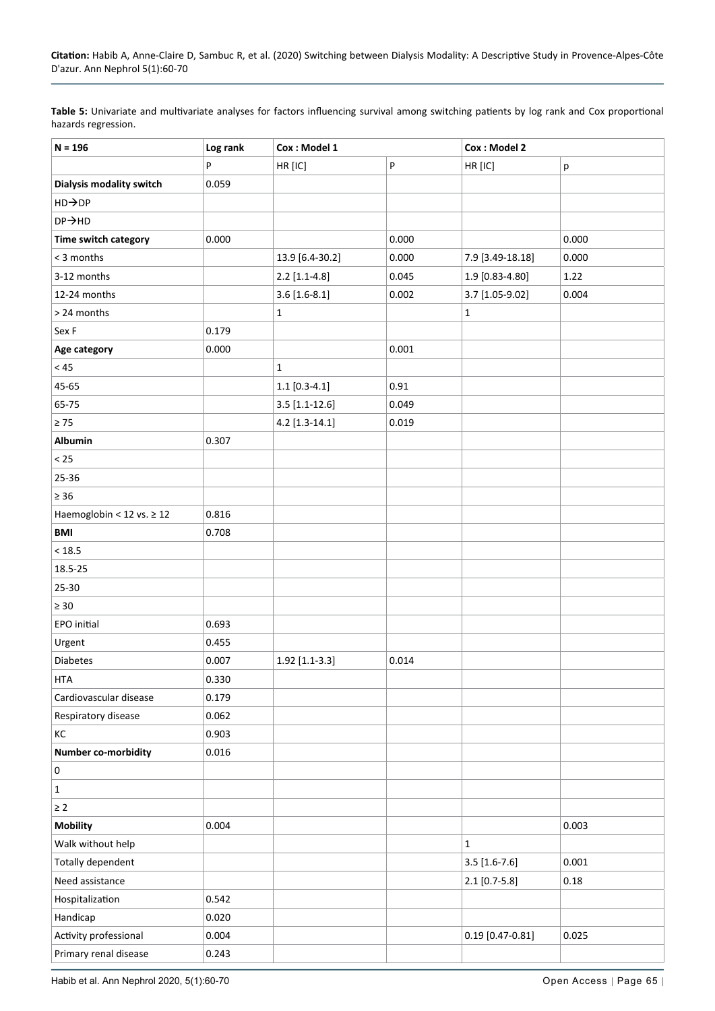<span id="page-5-0"></span>

| Table 5: Univariate and multivariate analyses for factors influencing survival among switching patients by log rank and Cox proportional |  |
|------------------------------------------------------------------------------------------------------------------------------------------|--|
| hazards regression.                                                                                                                      |  |

| $N = 196$                      | Log rank | Cox: Model 1     |       | Cox: Model 2       |       |  |  |
|--------------------------------|----------|------------------|-------|--------------------|-------|--|--|
|                                | P        | HR [IC]          | P     | HR [IC]            | р     |  |  |
| Dialysis modality switch       | 0.059    |                  |       |                    |       |  |  |
| HD→DP                          |          |                  |       |                    |       |  |  |
| $DP \rightarrow HD$            |          |                  |       |                    |       |  |  |
| Time switch category           | 0.000    |                  | 0.000 |                    | 0.000 |  |  |
| < 3 months                     |          | 13.9 [6.4-30.2]  | 0.000 | 7.9 [3.49-18.18]   | 0.000 |  |  |
| 3-12 months                    |          | $2.2$ [1.1-4.8]  | 0.045 | 1.9 [0.83-4.80]    | 1.22  |  |  |
| 12-24 months                   |          | $3.6$ [1.6-8.1]  | 0.002 | 3.7 [1.05-9.02]    | 0.004 |  |  |
| > 24 months                    |          | $\mathbf 1$      |       | $\mathbf 1$        |       |  |  |
| Sex F                          | 0.179    |                  |       |                    |       |  |  |
| Age category                   | 0.000    |                  | 0.001 |                    |       |  |  |
| $<45\,$                        |          | $\mathbf 1$      |       |                    |       |  |  |
| 45-65                          |          | $1.1$ [0.3-4.1]  | 0.91  |                    |       |  |  |
| 65-75                          |          | $3.5$ [1.1-12.6] | 0.049 |                    |       |  |  |
| $\geq 75$                      |          | $4.2$ [1.3-14.1] | 0.019 |                    |       |  |  |
| Albumin                        | 0.307    |                  |       |                    |       |  |  |
| $< 25$                         |          |                  |       |                    |       |  |  |
| 25-36                          |          |                  |       |                    |       |  |  |
| $\geq 36$                      |          |                  |       |                    |       |  |  |
| Haemoglobin < 12 vs. $\geq$ 12 | 0.816    |                  |       |                    |       |  |  |
| <b>BMI</b>                     | 0.708    |                  |       |                    |       |  |  |
| < 18.5                         |          |                  |       |                    |       |  |  |
| 18.5-25                        |          |                  |       |                    |       |  |  |
| 25-30                          |          |                  |       |                    |       |  |  |
| $\geq 30$                      |          |                  |       |                    |       |  |  |
| EPO initial                    | 0.693    |                  |       |                    |       |  |  |
| Urgent                         | 0.455    |                  |       |                    |       |  |  |
| <b>Diabetes</b>                | 0.007    | 1.92 [1.1-3.3]   | 0.014 |                    |       |  |  |
| <b>HTA</b>                     | 0.330    |                  |       |                    |       |  |  |
| Cardiovascular disease         | 0.179    |                  |       |                    |       |  |  |
| Respiratory disease            | 0.062    |                  |       |                    |       |  |  |
| КC                             | 0.903    |                  |       |                    |       |  |  |
| <b>Number co-morbidity</b>     | 0.016    |                  |       |                    |       |  |  |
| $\pmb{0}$                      |          |                  |       |                    |       |  |  |
| $\mathbf{1}$                   |          |                  |       |                    |       |  |  |
| $\geq 2$                       |          |                  |       |                    |       |  |  |
| <b>Mobility</b>                | 0.004    |                  |       |                    | 0.003 |  |  |
| Walk without help              |          |                  |       | $\mathbf 1$        |       |  |  |
| Totally dependent              |          |                  |       | $3.5$ [1.6-7.6]    | 0.001 |  |  |
| Need assistance                |          |                  |       | $2.1$ [0.7-5.8]    | 0.18  |  |  |
| Hospitalization                | 0.542    |                  |       |                    |       |  |  |
| Handicap                       | 0.020    |                  |       |                    |       |  |  |
| Activity professional          | 0.004    |                  |       | $0.19$ [0.47-0.81] | 0.025 |  |  |
| Primary renal disease          | 0.243    |                  |       |                    |       |  |  |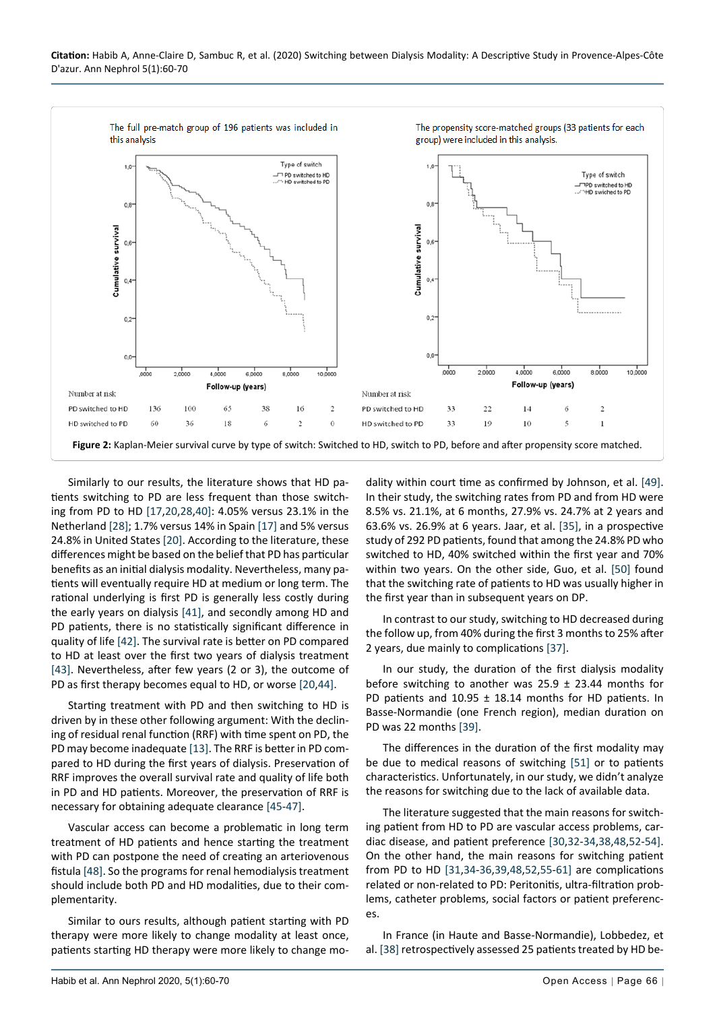<span id="page-6-0"></span>

Similarly to our results, the literature shows that HD patients switching to PD are less frequent than those switching from PD to HD [[17](#page-9-4),[20,](#page-9-16)[28](#page-9-17),[40\]](#page-9-18): 4.05% versus 23.1% in the Netherland [[28\]](#page-9-17); 1.7% versus 14% in Spain [[17\]](#page-9-4) and 5% versus 24.8% in United States [[20\]](#page-9-16). According to the literature, these differences might be based on the belief that PD has particular benefits as an initial dialysis modality. Nevertheless, many patients will eventually require HD at medium or long term. The rational underlying is first PD is generally less costly during the early years on dialysis [\[41\]](#page-9-19), and secondly among HD and PD patients, there is no statistically significant difference in quality of life [[42\]](#page-9-20). The survival rate is better on PD compared to HD at least over the first two years of dialysis treatment [[43\]](#page-9-21). Nevertheless, after few years (2 or 3), the outcome of PD as first therapy becomes equal to HD, or worse [\[20](#page-9-16),[44\]](#page-9-22).

Starting treatment with PD and then switching to HD is driven by in these other following argument: With the declining of residual renal function (RRF) with time spent on PD, the PD may become inadequate [[13\]](#page-9-0). The RRF is better in PD compared to HD during the first years of dialysis. Preservation of RRF improves the overall survival rate and quality of life both in PD and HD patients. Moreover, the preservation of RRF is necessary for obtaining adequate clearance [[45](#page-9-23)-[47](#page-9-24)].

Vascular access can become a problematic in long term treatment of HD patients and hence starting the treatment with PD can postpone the need of creating an arteriovenous fistula [\[48\]](#page-9-13). So the programs for renal hemodialysis treatment should include both PD and HD modalities, due to their complementarity.

Similar to ours results, although patient starting with PD therapy were more likely to change modality at least once, patients starting HD therapy were more likely to change modality within court time as confirmed by Johnson, et al. [\[49](#page-10-0)]. In their study, the switching rates from PD and from HD were 8.5% vs. 21.1%, at 6 months, 27.9% vs. 24.7% at 2 years and 63.6% vs. 26.9% at 6 years. Jaar, et al. [[35\]](#page-9-10), in a prospective study of 292 PD patients, found that among the 24.8% PD who switched to HD, 40% switched within the first year and 70% within two years. On the other side, Guo, et al. [\[50](#page-10-1)] found that the switching rate of patients to HD was usually higher in the first year than in subsequent years on DP.

In contrast to our study, switching to HD decreased during the follow up, from 40% during the first 3 months to 25% after 2 years, due mainly to complications [\[37](#page-9-7)].

In our study, the duration of the first dialysis modality before switching to another was  $25.9 \pm 23.44$  months for PD patients and 10.95 ± 18.14 months for HD patients. In Basse-Normandie (one French region), median duration on PD was 22 months [\[39](#page-9-9)].

The differences in the duration of the first modality may be due to medical reasons of switching [\[51](#page-10-2)] or to patients characteristics. Unfortunately, in our study, we didn't analyze the reasons for switching due to the lack of available data.

The literature suggested that the main reasons for switching patient from HD to PD are vascular access problems, cardiac disease, and patient preference [\[30](#page-9-6),[32-](#page-9-11)[34](#page-9-12),[38,](#page-9-8)[48](#page-9-13),[52](#page-10-3)[-54](#page-10-4)]. On the other hand, the main reasons for switching patient from PD to HD [[31,](#page-9-14)[34](#page-9-12)-[36](#page-9-15)[,39](#page-9-9),[48](#page-9-13)[,52](#page-10-3),[55](#page-10-5)-[61](#page-10-6)] are complications related or non-related to PD: Peritonitis, ultra-filtration problems, catheter problems, social factors or patient preferences.

In France (in Haute and Basse-Normandie), Lobbedez, et al. [\[38](#page-9-8)] retrospectively assessed 25 patients treated by HD be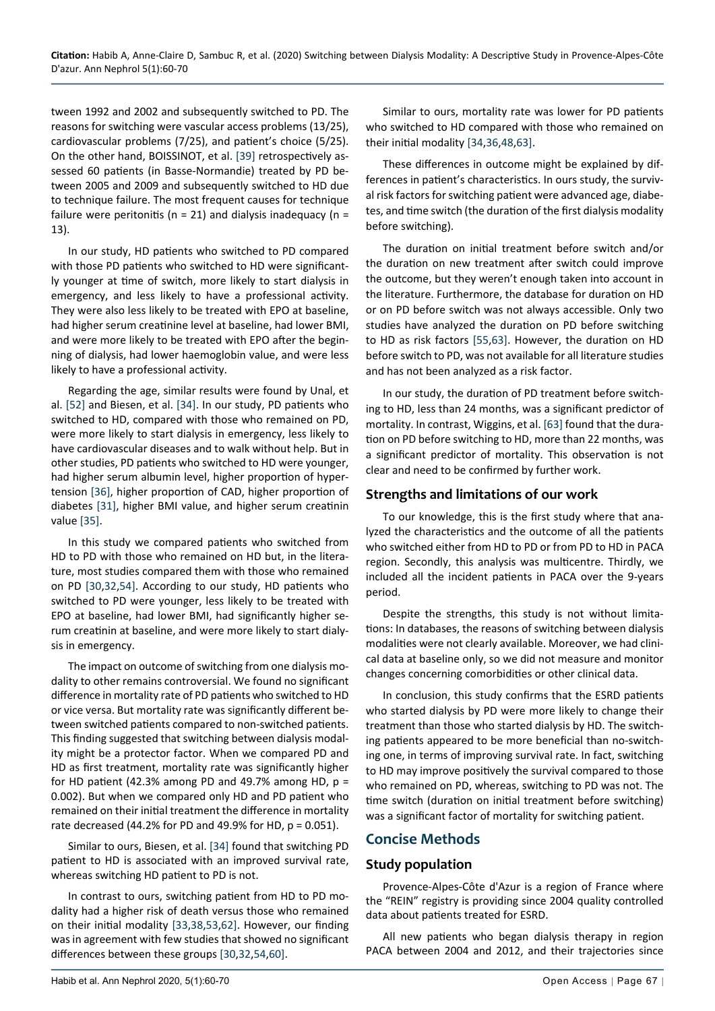tween 1992 and 2002 and subsequently switched to PD. The reasons for switching were vascular access problems (13/25), cardiovascular problems (7/25), and patient's choice (5/25). On the other hand, BOISSINOT, et al. [[39\]](#page-9-9) retrospectively assessed 60 patients (in Basse-Normandie) treated by PD between 2005 and 2009 and subsequently switched to HD due to technique failure. The most frequent causes for technique failure were peritonitis ( $n = 21$ ) and dialysis inadequacy ( $n =$ 13).

In our study, HD patients who switched to PD compared with those PD patients who switched to HD were significantly younger at time of switch, more likely to start dialysis in emergency, and less likely to have a professional activity. They were also less likely to be treated with EPO at baseline, had higher serum creatinine level at baseline, had lower BMI, and were more likely to be treated with EPO after the beginning of dialysis, had lower haemoglobin value, and were less likely to have a professional activity.

Regarding the age, similar results were found by Unal, et al. [[52](#page-10-3)] and Biesen, et al. [\[34](#page-9-12)]. In our study, PD patients who switched to HD, compared with those who remained on PD, were more likely to start dialysis in emergency, less likely to have cardiovascular diseases and to walk without help. But in other studies, PD patients who switched to HD were younger, had higher serum albumin level, higher proportion of hypertension [[36\]](#page-9-15), higher proportion of CAD, higher proportion of diabetes [[31\]](#page-9-14), higher BMI value, and higher serum creatinin value [[35\]](#page-9-10).

In this study we compared patients who switched from HD to PD with those who remained on HD but, in the literature, most studies compared them with those who remained on PD [\[30](#page-9-6),[32](#page-9-11),[54\]](#page-10-4). According to our study, HD patients who switched to PD were younger, less likely to be treated with EPO at baseline, had lower BMI, had significantly higher serum creatinin at baseline, and were more likely to start dialysis in emergency.

The impact on outcome of switching from one dialysis modality to other remains controversial. We found no significant difference in mortality rate of PD patients who switched to HD or vice versa. But mortality rate was significantly different between switched patients compared to non-switched patients. This finding suggested that switching between dialysis modality might be a protector factor. When we compared PD and HD as first treatment, mortality rate was significantly higher for HD patient (42.3% among PD and 49.7% among HD,  $p =$ 0.002). But when we compared only HD and PD patient who remained on their initial treatment the difference in mortality rate decreased (44.2% for PD and 49.9% for HD,  $p = 0.051$ ).

Similar to ours, Biesen, et al. [[34\]](#page-9-12) found that switching PD patient to HD is associated with an improved survival rate, whereas switching HD patient to PD is not.

In contrast to ours, switching patient from HD to PD modality had a higher risk of death versus those who remained on their initial modality [\[33](#page-9-25),[38](#page-9-8),[53,](#page-10-8)[62](#page-10-9)]. However, our finding was in agreement with few studies that showed no significant differences between these groups [\[30](#page-9-6),[32](#page-9-11)[,54,](#page-10-4)[60](#page-10-10)].

Similar to ours, mortality rate was lower for PD patients who switched to HD compared with those who remained on their initial modality [\[34](#page-9-12),[36](#page-9-15)[,48,](#page-9-13)[63](#page-10-7)].

These differences in outcome might be explained by differences in patient's characteristics. In ours study, the survival risk factors for switching patient were advanced age, diabetes, and time switch (the duration of the first dialysis modality before switching).

The duration on initial treatment before switch and/or the duration on new treatment after switch could improve the outcome, but they weren't enough taken into account in the literature. Furthermore, the database for duration on HD or on PD before switch was not always accessible. Only two studies have analyzed the duration on PD before switching to HD as risk factors [[55,](#page-10-5)[63\]](#page-10-7). However, the duration on HD before switch to PD, was not available for all literature studies and has not been analyzed as a risk factor.

In our study, the duration of PD treatment before switching to HD, less than 24 months, was a significant predictor of mortality. In contrast, Wiggins, et al. [[63\]](#page-10-7) found that the duration on PD before switching to HD, more than 22 months, was a significant predictor of mortality. This observation is not clear and need to be confirmed by further work.

## **Strengths and limitations of our work**

To our knowledge, this is the first study where that analyzed the characteristics and the outcome of all the patients who switched either from HD to PD or from PD to HD in PACA region. Secondly, this analysis was multicentre. Thirdly, we included all the incident patients in PACA over the 9-years period.

Despite the strengths, this study is not without limitations: In databases, the reasons of switching between dialysis modalities were not clearly available. Moreover, we had clinical data at baseline only, so we did not measure and monitor changes concerning comorbidities or other clinical data.

In conclusion, this study confirms that the ESRD patients who started dialysis by PD were more likely to change their treatment than those who started dialysis by HD. The switching patients appeared to be more beneficial than no-switching one, in terms of improving survival rate. In fact, switching to HD may improve positively the survival compared to those who remained on PD, whereas, switching to PD was not. The time switch (duration on initial treatment before switching) was a significant factor of mortality for switching patient.

## **Concise Methods**

#### **Study population**

Provence-Alpes-Côte d'Azur is a region of France where the "REIN" registry is providing since 2004 quality controlled data about patients treated for ESRD.

All new patients who began dialysis therapy in region PACA between 2004 and 2012, and their trajectories since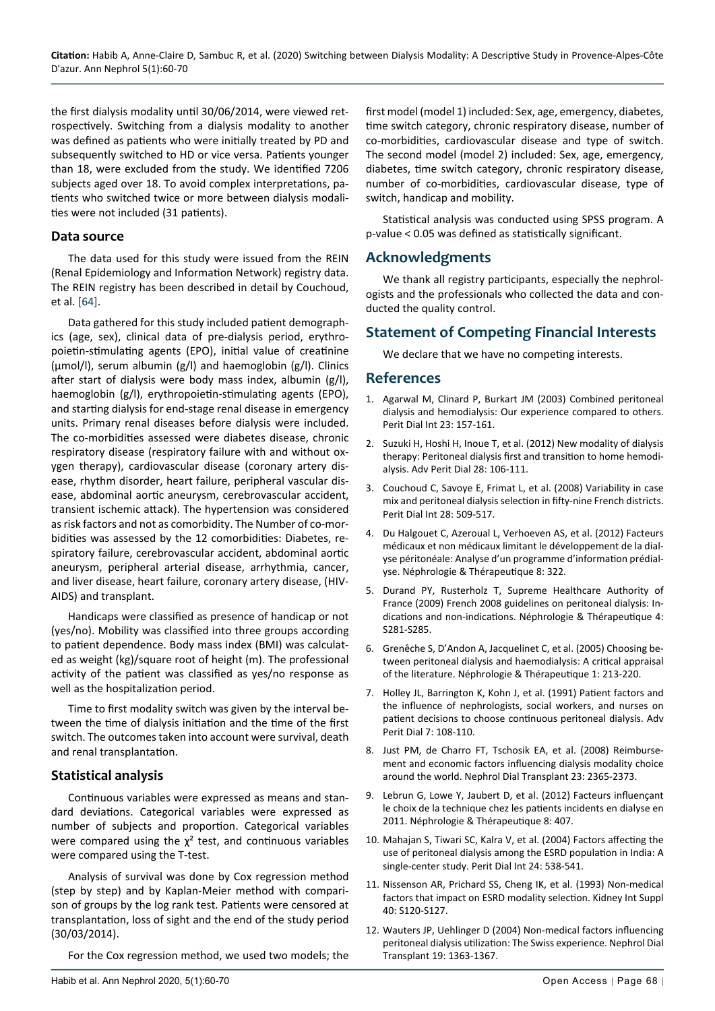the first dialysis modality until 30/06/2014, were viewed retrospectively. Switching from a dialysis modality to another was defined as patients who were initially treated by PD and subsequently switched to HD or vice versa. Patients younger than 18, were excluded from the study. We identified 7206 subjects aged over 18. To avoid complex interpretations, patients who switched twice or more between dialysis modalities were not included (31 patients).

#### **Data source**

The data used for this study were issued from the REIN (Renal Epidemiology and Information Network) registry data. The REIN registry has been described in detail by Couchoud, et al. [\[64](#page-10-11)].

Data gathered for this study included patient demographics (age, sex), clinical data of pre-dialysis period, erythropoietin-stimulating agents (EPO), initial value of creatinine (µmol/l), serum albumin (g/l) and haemoglobin (g/l). Clinics after start of dialysis were body mass index, albumin (g/l), haemoglobin (g/l), erythropoietin-stimulating agents (EPO), and starting dialysis for end-stage renal disease in emergency units. Primary renal diseases before dialysis were included. The co-morbidities assessed were diabetes disease, chronic respiratory disease (respiratory failure with and without oxygen therapy), cardiovascular disease (coronary artery disease, rhythm disorder, heart failure, peripheral vascular disease, abdominal aortic aneurysm, cerebrovascular accident, transient ischemic attack). The hypertension was considered as risk factors and not as comorbidity. The Number of co-morbidities was assessed by the 12 comorbidities: Diabetes, respiratory failure, cerebrovascular accident, abdominal aortic aneurysm, peripheral arterial disease, arrhythmia, cancer, and liver disease, heart failure, coronary artery disease, (HIV-AIDS) and transplant.

Handicaps were classified as presence of handicap or not (yes/no). Mobility was classified into three groups according to patient dependence. Body mass index (BMI) was calculated as weight (kg)/square root of height (m). The professional activity of the patient was classified as yes/no response as well as the hospitalization period.

Time to first modality switch was given by the interval between the time of dialysis initiation and the time of the first switch. The outcomes taken into account were survival, death and renal transplantation.

#### **Statistical analysis**

Continuous variables were expressed as means and standard deviations. Categorical variables were expressed as number of subjects and proportion. Categorical variables were compared using the  $\chi^2$  test, and continuous variables were compared using the T-test.

Analysis of survival was done by Cox regression method (step by step) and by Kaplan-Meier method with comparison of groups by the log rank test. Patients were censored at transplantation, loss of sight and the end of the study period (30/03/2014).

For the Cox regression method, we used two models; the

first model (model 1) included: Sex, age, emergency, diabetes, time switch category, chronic respiratory disease, number of co-morbidities, cardiovascular disease and type of switch. The second model (model 2) included: Sex, age, emergency, diabetes, time switch category, chronic respiratory disease, number of co-morbidities, cardiovascular disease, type of switch, handicap and mobility.

Statistical analysis was conducted using SPSS program. A p-value < 0.05 was defined as statistically significant.

#### **Acknowledgments**

We thank all registry participants, especially the nephrologists and the professionals who collected the data and conducted the quality control.

## **Statement of Competing Financial Interests**

We declare that we have no competing interests.

#### **References**

- <span id="page-8-0"></span>1. [Agarwal M, Clinard P, Burkart JM \(2003\) Combined peritoneal](https://www.ncbi.nlm.nih.gov/pubmed/12713083)  [dialysis and hemodialysis: Our experience compared to others.](https://www.ncbi.nlm.nih.gov/pubmed/12713083)  [Perit Dial Int 23: 157-161.](https://www.ncbi.nlm.nih.gov/pubmed/12713083)
- <span id="page-8-1"></span>2. [Suzuki H, Hoshi H, Inoue T, et al. \(2012\) New modality of dialysis](https://www.ncbi.nlm.nih.gov/pubmed/23311225)  [therapy: Peritoneal dialysis first and transition to home hemodi](https://www.ncbi.nlm.nih.gov/pubmed/23311225)[alysis. Adv Perit Dial 28: 106-111.](https://www.ncbi.nlm.nih.gov/pubmed/23311225)
- <span id="page-8-2"></span>3. [Couchoud C, Savoye E, Frimat L, et al. \(2008\) Variability in case](https://www.ncbi.nlm.nih.gov/pubmed/18708545)  [mix and peritoneal dialysis selection in fifty-nine French districts.](https://www.ncbi.nlm.nih.gov/pubmed/18708545)  [Perit Dial Int 28: 509-517.](https://www.ncbi.nlm.nih.gov/pubmed/18708545)
- 4. [Du Halgouet C, Azeroual L, Verhoeven AS, et al. \(2012\) Facteurs](https://www.em-consulte.com/medecine/article/752447/article/facteurs-medicaux-et-non-medicaux-limitant-le-deve)  [médicaux et non médicaux limitant le développement de la dial](https://www.em-consulte.com/medecine/article/752447/article/facteurs-medicaux-et-non-medicaux-limitant-le-deve)[yse péritonéale: Analyse d'un programme d'information prédial](https://www.em-consulte.com/medecine/article/752447/article/facteurs-medicaux-et-non-medicaux-limitant-le-deve)[yse. Néphrologie & Thérapeutique 8: 322.](https://www.em-consulte.com/medecine/article/752447/article/facteurs-medicaux-et-non-medicaux-limitant-le-deve)
- 5. [Durand PY, Rusterholz T, Supreme Healthcare Authority of](https://www.ncbi.nlm.nih.gov/pubmed/19596349)  [France \(2009\) French 2008 guidelines on peritoneal dialysis: In](https://www.ncbi.nlm.nih.gov/pubmed/19596349)[dications and non-indications. Néphrologie & Thérapeutique 4:](https://www.ncbi.nlm.nih.gov/pubmed/19596349)  [S281-S285.](https://www.ncbi.nlm.nih.gov/pubmed/19596349)
- 6. [Grenêche S, D'Andon A, Jacquelinet C, et al. \(2005\) Choosing be](https://www.sciencedirect.com/science/article/abs/pii/S1769725505000623)[tween peritoneal dialysis and haemodialysis: A critical appraisal](https://www.sciencedirect.com/science/article/abs/pii/S1769725505000623)  [of the literature. Néphrologie & Thérapeutique 1: 213-220.](https://www.sciencedirect.com/science/article/abs/pii/S1769725505000623)
- 7. [Holley JL, Barrington K, Kohn J, et al. \(1991\) Patient factors and](https://www.ncbi.nlm.nih.gov/pubmed/1680403)  [the influence of nephrologists, social workers, and nurses on](https://www.ncbi.nlm.nih.gov/pubmed/1680403)  [patient decisions to choose continuous peritoneal dialysis. Adv](https://www.ncbi.nlm.nih.gov/pubmed/1680403)  [Perit Dial 7: 108-110.](https://www.ncbi.nlm.nih.gov/pubmed/1680403)
- 8. [Just PM, de Charro FT, Tschosik EA, et al. \(2008\) Reimburse](https://www.ncbi.nlm.nih.gov/pubmed/18234844)[ment and economic factors influencing dialysis modality choice](https://www.ncbi.nlm.nih.gov/pubmed/18234844)  [around the world. Nephrol Dial Transplant 23: 2365-2373.](https://www.ncbi.nlm.nih.gov/pubmed/18234844)
- 9. [Lebrun G, Lowe Y, Jaubert D, et al. \(2012\) Facteurs influençant](https://www.em-consulte.com/article/752639/article/facteurs-influencant-le-choix-de-la-technique-chez)  [le choix de la technique chez les patients incidents en dialyse en](https://www.em-consulte.com/article/752639/article/facteurs-influencant-le-choix-de-la-technique-chez)  [2011. Néphrologie & Thérapeutique 8: 407.](https://www.em-consulte.com/article/752639/article/facteurs-influencant-le-choix-de-la-technique-chez)
- 10. [Mahajan S, Tiwari SC, Kalra V, et al. \(2004\) Factors affecting the](https://www.ncbi.nlm.nih.gov/pubmed/15559482)  [use of peritoneal dialysis among the ESRD population in India: A](https://www.ncbi.nlm.nih.gov/pubmed/15559482)  [single-center study. Perit Dial Int 24: 538-541.](https://www.ncbi.nlm.nih.gov/pubmed/15559482)
- 11. [Nissenson AR, Prichard SS, Cheng IK, et al. \(1993\) Non-medical](https://www.ncbi.nlm.nih.gov/pubmed/8445833)  [factors that impact on ESRD modality selection. Kidney Int Suppl](https://www.ncbi.nlm.nih.gov/pubmed/8445833)  [40: S120-S127.](https://www.ncbi.nlm.nih.gov/pubmed/8445833)
- <span id="page-8-3"></span>12. [Wauters JP, Uehlinger D \(2004\) Non-medical factors influencing](https://www.ncbi.nlm.nih.gov/pubmed/14993480)  [peritoneal dialysis utilization: The Swiss experience. Nephrol Dial](https://www.ncbi.nlm.nih.gov/pubmed/14993480)  [Transplant 19: 1363-1367.](https://www.ncbi.nlm.nih.gov/pubmed/14993480)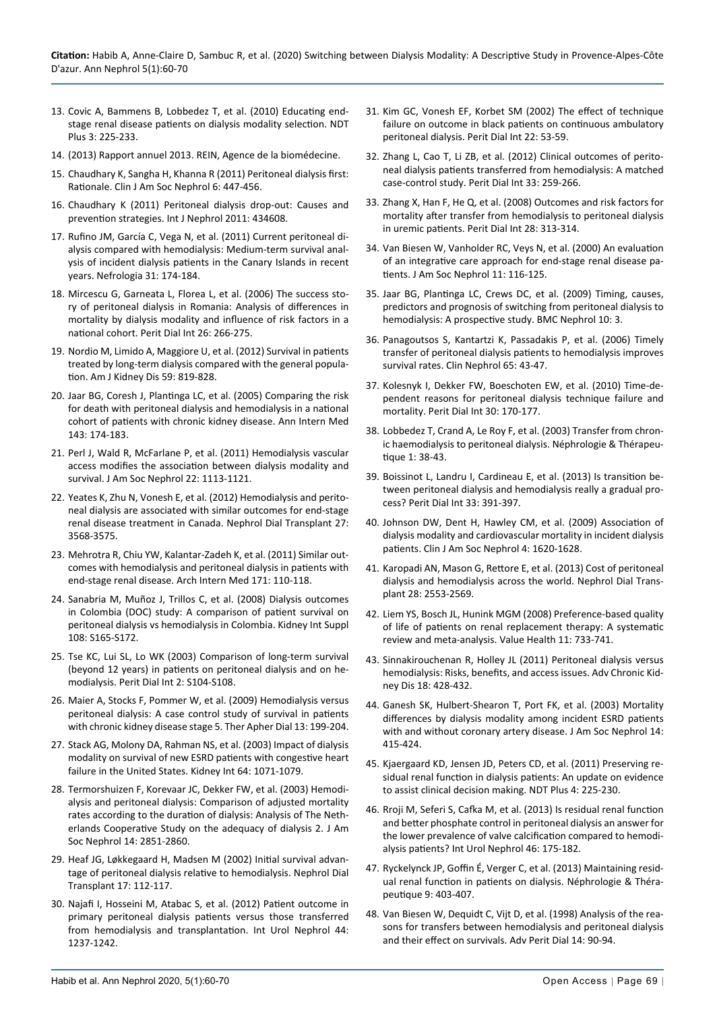- <span id="page-9-0"></span>13. [Covic A, Bammens B, Lobbedez T, et al. \(2010\) Educating end](https://www.ncbi.nlm.nih.gov/pmc/articles/PMC5477971/)[stage renal disease patients on dialysis modality selection. NDT](https://www.ncbi.nlm.nih.gov/pmc/articles/PMC5477971/)  [Plus 3: 225-233.](https://www.ncbi.nlm.nih.gov/pmc/articles/PMC5477971/)
- <span id="page-9-1"></span>14. [\(2013\) Rapport annuel 2013. REIN, Agence de la biomédecine.](https://www.agence-biomedecine.fr/IMG/pdf/rapport_rein2013.pdf)
- <span id="page-9-2"></span>15. [Chaudhary K, Sangha H, Khanna R \(2011\) Peritoneal dialysis first:](https://www.ncbi.nlm.nih.gov/pubmed/21115629)  [Rationale. Clin J Am Soc Nephrol 6: 447-456.](https://www.ncbi.nlm.nih.gov/pubmed/21115629)
- <span id="page-9-3"></span>16. [Chaudhary K \(2011\) Peritoneal dialysis drop-out: Causes and](https://www.ncbi.nlm.nih.gov/pmc/articles/PMC3205769/)  [prevention strategies. Int J Nephrol 2011: 434608.](https://www.ncbi.nlm.nih.gov/pmc/articles/PMC3205769/)
- <span id="page-9-4"></span>17. [Rufino JM, García C, Vega N, et al. \(2011\) Current peritoneal di](https://www.ncbi.nlm.nih.gov/pubmed/21461011)[alysis compared with hemodialysis: Medium-term survival anal](https://www.ncbi.nlm.nih.gov/pubmed/21461011)[ysis of incident dialysis patients in the Canary Islands in recent](https://www.ncbi.nlm.nih.gov/pubmed/21461011)  [years. Nefrologia 31: 174-184.](https://www.ncbi.nlm.nih.gov/pubmed/21461011)
- 18. [Mircescu G, Garneata L, Florea L, et al. \(2006\) The success sto](https://www.ncbi.nlm.nih.gov/pubmed/16623435)[ry of peritoneal dialysis in Romania: Analysis of differences in](https://www.ncbi.nlm.nih.gov/pubmed/16623435)  [mortality by dialysis modality and influence of risk factors in a](https://www.ncbi.nlm.nih.gov/pubmed/16623435)  [national cohort. Perit Dial Int 26: 266-275.](https://www.ncbi.nlm.nih.gov/pubmed/16623435)
- 19. [Nordio M, Limido A, Maggiore U, et al. \(2012\) Survival in patients](https://www.ncbi.nlm.nih.gov/pubmed/22361043)  [treated by long-term dialysis compared with the general popula](https://www.ncbi.nlm.nih.gov/pubmed/22361043)[tion. Am J Kidney Dis 59: 819-828.](https://www.ncbi.nlm.nih.gov/pubmed/22361043)
- <span id="page-9-16"></span>20. [Jaar BG, Coresh J, Plantinga LC, et al. \(2005\) Comparing the risk](https://www.ncbi.nlm.nih.gov/pubmed/16061915)  [for death with peritoneal dialysis and hemodialysis in a national](https://www.ncbi.nlm.nih.gov/pubmed/16061915)  [cohort of patients with chronic kidney disease. Ann Intern Med](https://www.ncbi.nlm.nih.gov/pubmed/16061915)  [143: 174-183.](https://www.ncbi.nlm.nih.gov/pubmed/16061915)
- 21. [Perl J, Wald R, McFarlane P, et al. \(2011\) Hemodialysis vascular](https://www.ncbi.nlm.nih.gov/pubmed/21511830/)  [access modifies the association between dialysis modality and](https://www.ncbi.nlm.nih.gov/pubmed/21511830/)  [survival. J Am Soc Nephrol 22: 1113-1121.](https://www.ncbi.nlm.nih.gov/pubmed/21511830/)
- 22. [Yeates K, Zhu N, Vonesh E, et al. \(2012\) Hemodialysis and perito](https://www.ncbi.nlm.nih.gov/pubmed/22391139)[neal dialysis are associated with similar outcomes for end-stage](https://www.ncbi.nlm.nih.gov/pubmed/22391139)  [renal disease treatment in Canada. Nephrol Dial Transplant 27:](https://www.ncbi.nlm.nih.gov/pubmed/22391139)  [3568-3575.](https://www.ncbi.nlm.nih.gov/pubmed/22391139)
- 23. [Mehrotra R, Chiu YW, Kalantar-Zadeh K, et al. \(2011\) Similar out](https://www.ncbi.nlm.nih.gov/pubmed/20876398)[comes with hemodialysis and peritoneal dialysis in patients with](https://www.ncbi.nlm.nih.gov/pubmed/20876398)  [end-stage renal disease. Arch Intern Med 171: 110-118.](https://www.ncbi.nlm.nih.gov/pubmed/20876398)
- 24. [Sanabria M, Muñoz J, Trillos C, et al. \(2008\) Dialysis outcomes](https://www.ncbi.nlm.nih.gov/pubmed/18379541)  [in Colombia \(DOC\) study: A comparison of patient survival on](https://www.ncbi.nlm.nih.gov/pubmed/18379541)  [peritoneal dialysis vs hemodialysis in Colombia. Kidney Int Suppl](https://www.ncbi.nlm.nih.gov/pubmed/18379541)  [108: S165-S172.](https://www.ncbi.nlm.nih.gov/pubmed/18379541)
- 25. [Tse KC, Lui SL, Lo WK \(2003\) Comparison of long-term survival](https://www.ncbi.nlm.nih.gov/pubmed/17986526)  [\(beyond 12 years\) in patients on peritoneal dialysis and on he](https://www.ncbi.nlm.nih.gov/pubmed/17986526)[modialysis. Perit Dial Int 2: S104-S108.](https://www.ncbi.nlm.nih.gov/pubmed/17986526)
- 26. [Maier A, Stocks F, Pommer W, et al. \(2009\) Hemodialysis versus](https://www.ncbi.nlm.nih.gov/pubmed/19527466)  [peritoneal dialysis: A case control study of survival in patients](https://www.ncbi.nlm.nih.gov/pubmed/19527466)  [with chronic kidney disease stage 5. Ther Apher Dial 13: 199-204.](https://www.ncbi.nlm.nih.gov/pubmed/19527466)
- 27. [Stack AG, Molony DA, Rahman NS, et al. \(2003\) Impact of dialysis](https://www.ncbi.nlm.nih.gov/pubmed/12911559)  [modality on survival of new ESRD patients with congestive heart](https://www.ncbi.nlm.nih.gov/pubmed/12911559)  [failure in the United States. Kidney Int 64: 1071-1079.](https://www.ncbi.nlm.nih.gov/pubmed/12911559)
- <span id="page-9-17"></span>28. [Termorshuizen F, Korevaar JC, Dekker FW, et al. \(2003\) Hemodi](https://www.ncbi.nlm.nih.gov/pubmed/14569095)[alysis and peritoneal dialysis: Comparison of adjusted mortality](https://www.ncbi.nlm.nih.gov/pubmed/14569095)  [rates according to the duration of dialysis: Analysis of The Neth](https://www.ncbi.nlm.nih.gov/pubmed/14569095)[erlands Cooperative Study on the adequacy of dialysis 2. J Am](https://www.ncbi.nlm.nih.gov/pubmed/14569095)  [Soc Nephrol 14: 2851-2860.](https://www.ncbi.nlm.nih.gov/pubmed/14569095)
- <span id="page-9-5"></span>29. [Heaf JG, Løkkegaard H, Madsen M \(2002\) Initial survival advan](https://www.ncbi.nlm.nih.gov/pubmed/11773473)[tage of peritoneal dialysis relative to hemodialysis. Nephrol Dial](https://www.ncbi.nlm.nih.gov/pubmed/11773473)  [Transplant 17: 112-117.](https://www.ncbi.nlm.nih.gov/pubmed/11773473)
- <span id="page-9-6"></span>30. [Najafi I, Hosseini M, Atabac S, et al. \(2012\) Patient outcome in](https://www.ncbi.nlm.nih.gov/pubmed/22090190)  [primary peritoneal dialysis patients versus those transferred](https://www.ncbi.nlm.nih.gov/pubmed/22090190)  [from hemodialysis and transplantation. Int Urol Nephrol 44:](https://www.ncbi.nlm.nih.gov/pubmed/22090190)  [1237-1242.](https://www.ncbi.nlm.nih.gov/pubmed/22090190)
- <span id="page-9-14"></span>31. [Kim GC, Vonesh EF, Korbet SM \(2002\) The effect of technique](https://www.ncbi.nlm.nih.gov/pubmed/11929145)  [failure on outcome in black patients on continuous ambulatory](https://www.ncbi.nlm.nih.gov/pubmed/11929145)  [peritoneal dialysis. Perit Dial Int 22: 53-59.](https://www.ncbi.nlm.nih.gov/pubmed/11929145)
- <span id="page-9-11"></span>32. [Zhang L, Cao T, Li ZB, et al. \(2012\) Clinical outcomes of perito](https://www.ncbi.nlm.nih.gov/pubmed/23123665)[neal dialysis patients transferred from hemodialysis: A matched](https://www.ncbi.nlm.nih.gov/pubmed/23123665)  [case-control study. Perit Dial Int 33: 259-266.](https://www.ncbi.nlm.nih.gov/pubmed/23123665)
- <span id="page-9-25"></span>33. [Zhang X, Han F, He Q, et al. \(2008\) Outcomes and risk factors for](https://www.ncbi.nlm.nih.gov/pubmed/18474927)  [mortality after transfer from hemodialysis to peritoneal dialysis](https://www.ncbi.nlm.nih.gov/pubmed/18474927)  [in uremic patients. Perit Dial Int 28: 313-314.](https://www.ncbi.nlm.nih.gov/pubmed/18474927)
- <span id="page-9-12"></span>34. [Van Biesen W, Vanholder RC, Veys N, et al. \(2000\) An evaluation](https://www.ncbi.nlm.nih.gov/pubmed/10616847)  [of an integrative care approach for end-stage renal disease pa](https://www.ncbi.nlm.nih.gov/pubmed/10616847)[tients. J Am Soc Nephrol 11: 116-125.](https://www.ncbi.nlm.nih.gov/pubmed/10616847)
- <span id="page-9-10"></span>35. [Jaar BG, Plantinga LC, Crews DC, et al. \(2009\) Timing, causes,](https://www.ncbi.nlm.nih.gov/pubmed/19200383)  [predictors and prognosis of switching from peritoneal dialysis to](https://www.ncbi.nlm.nih.gov/pubmed/19200383)  [hemodialysis: A prospective study. BMC Nephrol 10: 3.](https://www.ncbi.nlm.nih.gov/pubmed/19200383)
- <span id="page-9-15"></span>36. [Panagoutsos S, Kantartzi K, Passadakis P, et al. \(2006\) Timely](https://www.ncbi.nlm.nih.gov/pubmed/16429841)  [transfer of peritoneal dialysis patients to hemodialysis improves](https://www.ncbi.nlm.nih.gov/pubmed/16429841)  [survival rates. Clin Nephrol 65: 43-47.](https://www.ncbi.nlm.nih.gov/pubmed/16429841)
- <span id="page-9-7"></span>37. [Kolesnyk I, Dekker FW, Boeschoten EW, et al. \(2010\) Time-de](https://www.ncbi.nlm.nih.gov/pubmed/20124193)[pendent reasons for peritoneal dialysis technique failure and](https://www.ncbi.nlm.nih.gov/pubmed/20124193)  [mortality. Perit Dial Int 30: 170-177.](https://www.ncbi.nlm.nih.gov/pubmed/20124193)
- <span id="page-9-8"></span>38. [Lobbedez T, Crand A, Le Roy F, et al. \(2003\) Transfer from chron](https://www.sciencedirect.com/science/article/abs/pii/S1769725505000052)[ic haemodialysis to peritoneal dialysis. Néphrologie & Thérapeu](https://www.sciencedirect.com/science/article/abs/pii/S1769725505000052)[tique 1: 38-43.](https://www.sciencedirect.com/science/article/abs/pii/S1769725505000052)
- <span id="page-9-9"></span>39. [Boissinot L, Landru I, Cardineau E, et al. \(2013\) Is transition be](https://www.ncbi.nlm.nih.gov/pubmed/23284075)[tween peritoneal dialysis and hemodialysis really a gradual pro](https://www.ncbi.nlm.nih.gov/pubmed/23284075)[cess? Perit Dial Int 33: 391-397.](https://www.ncbi.nlm.nih.gov/pubmed/23284075)
- <span id="page-9-18"></span>40. [Johnson DW, Dent H, Hawley CM, et al. \(2009\) Association of](https://www.ncbi.nlm.nih.gov/pmc/articles/PMC2758255/)  [dialysis modality and cardiovascular mortality in incident dialysis](https://www.ncbi.nlm.nih.gov/pmc/articles/PMC2758255/)  [patients. Clin J Am Soc Nephrol 4: 1620-1628.](https://www.ncbi.nlm.nih.gov/pmc/articles/PMC2758255/)
- <span id="page-9-19"></span>41. [Karopadi AN, Mason G, Rettore E, et al. \(2013\) Cost of peritoneal](https://www.ncbi.nlm.nih.gov/pubmed/23737482)  [dialysis and hemodialysis across the world. Nephrol Dial Trans](https://www.ncbi.nlm.nih.gov/pubmed/23737482)[plant 28: 2553-2569.](https://www.ncbi.nlm.nih.gov/pubmed/23737482)
- <span id="page-9-20"></span>42. [Liem YS, Bosch JL, Hunink MGM \(2008\) Preference-based quality](https://www.ncbi.nlm.nih.gov/pubmed/18194399)  [of life of patients on renal replacement therapy: A systematic](https://www.ncbi.nlm.nih.gov/pubmed/18194399)  [review and meta-analysis. Value Health 11: 733-741.](https://www.ncbi.nlm.nih.gov/pubmed/18194399)
- <span id="page-9-21"></span>43. [Sinnakirouchenan R, Holley JL \(2011\) Peritoneal dialysis versus](https://www.ncbi.nlm.nih.gov/pubmed/22098661)  [hemodialysis: Risks, benefits, and access issues. Adv Chronic Kid](https://www.ncbi.nlm.nih.gov/pubmed/22098661)[ney Dis 18: 428-432.](https://www.ncbi.nlm.nih.gov/pubmed/22098661)
- <span id="page-9-22"></span>44. [Ganesh SK, Hulbert-Shearon T, Port FK, et al. \(2003\) Mortality](https://www.ncbi.nlm.nih.gov/pubmed/12538742)  [differences by dialysis modality among incident ESRD patients](https://www.ncbi.nlm.nih.gov/pubmed/12538742)  [with and without coronary artery disease. J Am Soc Nephrol 14:](https://www.ncbi.nlm.nih.gov/pubmed/12538742)  [415-424.](https://www.ncbi.nlm.nih.gov/pubmed/12538742)
- <span id="page-9-23"></span>45. [Kjaergaard KD, Jensen JD, Peters CD, et al. \(2011\) Preserving re](https://www.ncbi.nlm.nih.gov/pmc/articles/PMC4421450/)[sidual renal function in dialysis patients: An update on evidence](https://www.ncbi.nlm.nih.gov/pmc/articles/PMC4421450/)  [to assist clinical decision making. NDT Plus 4: 225-230.](https://www.ncbi.nlm.nih.gov/pmc/articles/PMC4421450/)
- 46. [Rroji M, Seferi S, Cafka M, et al. \(2013\) Is residual renal function](https://www.ncbi.nlm.nih.gov/pubmed/23591721)  [and better phosphate control in peritoneal dialysis an answer for](https://www.ncbi.nlm.nih.gov/pubmed/23591721)  [the lower prevalence of valve calcification compared to hemodi](https://www.ncbi.nlm.nih.gov/pubmed/23591721)[alysis patients? Int Urol Nephrol 46: 175-182.](https://www.ncbi.nlm.nih.gov/pubmed/23591721)
- <span id="page-9-24"></span>47. [Ryckelynck JP, Goffin É, Verger C, et al. \(2013\) Maintaining resid](https://www.sciencedirect.com/science/article/abs/pii/S1769725513000965)[ual renal function in patients on dialysis. Néphrologie & Théra](https://www.sciencedirect.com/science/article/abs/pii/S1769725513000965)[peutique 9: 403-407.](https://www.sciencedirect.com/science/article/abs/pii/S1769725513000965)
- <span id="page-9-13"></span>48. [Van Biesen W, Dequidt C, Vijt D, et al. \(1998\) Analysis of the rea](https://www.ncbi.nlm.nih.gov/pubmed/10649700)[sons for transfers between hemodialysis and peritoneal dialysis](https://www.ncbi.nlm.nih.gov/pubmed/10649700)  [and their effect on survivals. Adv Perit Dial 14: 90-94.](https://www.ncbi.nlm.nih.gov/pubmed/10649700)